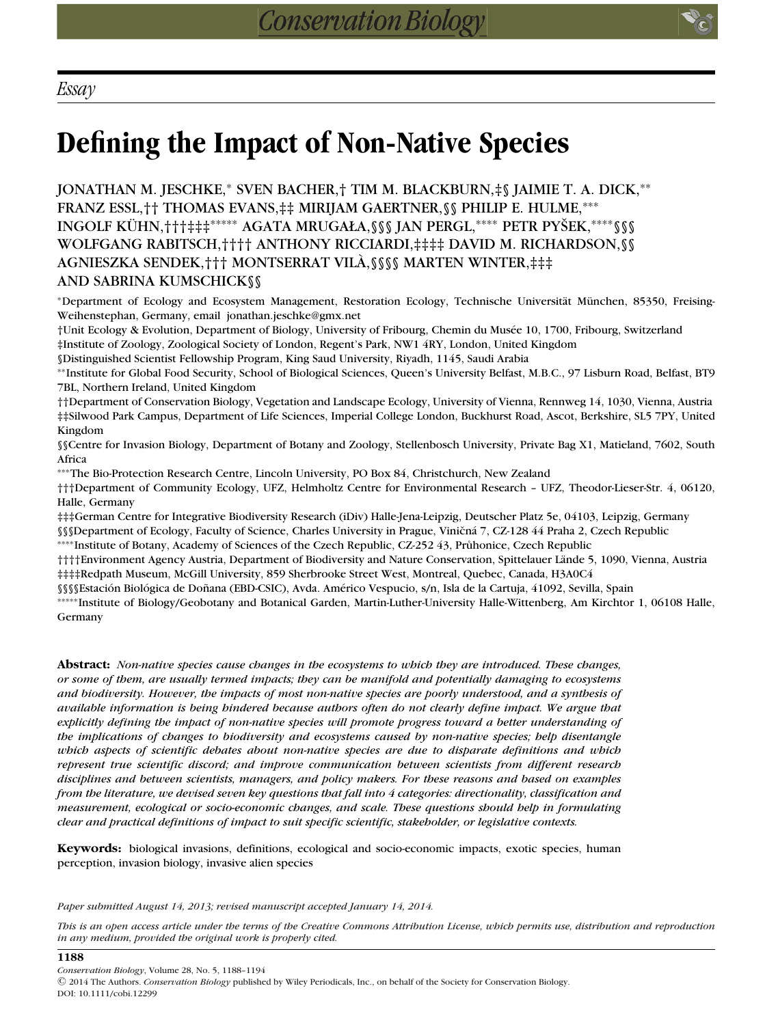**1188**

# **Defining the Impact of Non-Native Species**

JONATHAN M. JESCHKE,<sup>∗</sup> SVEN BACHER,† TIM M. BLACKBURN,‡§ JAIMIE T. A. DICK,∗∗ FRANZ ESSL,†† THOMAS EVANS,‡‡ MIRIJAM GAERTNER,§§ PHILIP E. HULME,∗∗∗ INGOLF KÜHN,†††‡‡‡\*\*\*\*\* AGATA MRUGAŁA,§§§ JAN PERGL,\*\*\*\* PETR PYŠEK,\*\*\*\* §§§ WOLFGANG RABITSCH,†††† ANTHONY RICCIARDI,‡‡‡‡ DAVID M. RICHARDSON,§§ AGNIESZKA SENDEK,††† MONTSERRAT VILA,§§§§ MARTEN WINTER,‡‡‡ ` AND SABRINA KUMSCHICK§§

\*Department of Ecology and Ecosystem Management, Restoration Ecology, Technische Universität München, 85350, Freising-Weihenstephan, Germany, email jonathan.jeschke@gmx.net

†Unit Ecology & Evolution, Department of Biology, University of Fribourg, Chemin du Musee 10, 1700, Fribourg, Switzerland ´ ‡Institute of Zoology, Zoological Society of London, Regent's Park, NW1 4RY, London, United Kingdom

§Distinguished Scientist Fellowship Program, King Saud University, Riyadh, 1145, Saudi Arabia

∗∗Institute for Global Food Security, School of Biological Sciences, Queen's University Belfast, M.B.C., 97 Lisburn Road, Belfast, BT9 7BL, Northern Ireland, United Kingdom

††Department of Conservation Biology, Vegetation and Landscape Ecology, University of Vienna, Rennweg 14, 1030, Vienna, Austria ‡‡Silwood Park Campus, Department of Life Sciences, Imperial College London, Buckhurst Road, Ascot, Berkshire, SL5 7PY, United Kingdom

§§Centre for Invasion Biology, Department of Botany and Zoology, Stellenbosch University, Private Bag X1, Matieland, 7602, South Africa

∗∗∗The Bio-Protection Research Centre, Lincoln University, PO Box 84, Christchurch, New Zealand

†††Department of Community Ecology, UFZ, Helmholtz Centre for Environmental Research – UFZ, Theodor-Lieser-Str. 4, 06120, Halle, Germany

‡‡‡German Centre for Integrative Biodiversity Research (iDiv) Halle-Jena-Leipzig, Deutscher Platz 5e, 04103, Leipzig, Germany

§§§Department of Ecology, Faculty of Science, Charles University in Prague, Viničná 7, CZ-128 44 Praha 2, Czech Republic

∗∗∗∗Institute of Botany, Academy of Sciences of the Czech Republic, CZ-252 43, Pruhonice, Czech Republic ˚

†††Environment Agency Austria, Department of Biodiversity and Nature Conservation, Spittelauer Lände 5, 1090, Vienna, Austria ‡‡‡‡Redpath Museum, McGill University, 859 Sherbrooke Street West, Montreal, Quebec, Canada, H3A0C4

§§§Estación Biológica de Doñana (EBD-CSIC), Avda. Américo Vespucio, s/n, Isla de la Cartuja, 41092, Sevilla, Spain

∗∗∗∗∗Institute of Biology/Geobotany and Botanical Garden, Martin-Luther-University Halle-Wittenberg, Am Kirchtor 1, 06108 Halle, Germany

**Abstract:** *Non-native species cause changes in the ecosystems to which they are introduced. These changes, or some of them, are usually termed impacts; they can be manifold and potentially damaging to ecosystems and biodiversity. However, the impacts of most non-native species are poorly understood, and a synthesis of available information is being hindered because authors often do not clearly define impact. We argue that explicitly defining the impact of non-native species will promote progress toward a better understanding of the implications of changes to biodiversity and ecosystems caused by non-native species; help disentangle which aspects of scientific debates about non-native species are due to disparate definitions and which represent true scientific discord; and improve communication between scientists from different research disciplines and between scientists, managers, and policy makers. For these reasons and based on examples from the literature, we devised seven key questions that fall into 4 categories: directionality, classification and measurement, ecological or socio-economic changes, and scale. These questions should help in formulating clear and practical definitions of impact to suit specific scientific, stakeholder, or legislative contexts.*

**Keywords:** biological invasions, definitions, ecological and socio-economic impacts, exotic species, human perception, invasion biology, invasive alien species

*Paper submitted August 14, 2013; revised manuscript accepted January 14, 2014.*

*This is an open access article under the terms of the Creative Commons Attribution License, which permits use, distribution and reproduction in any medium, provided the original work is properly cited.*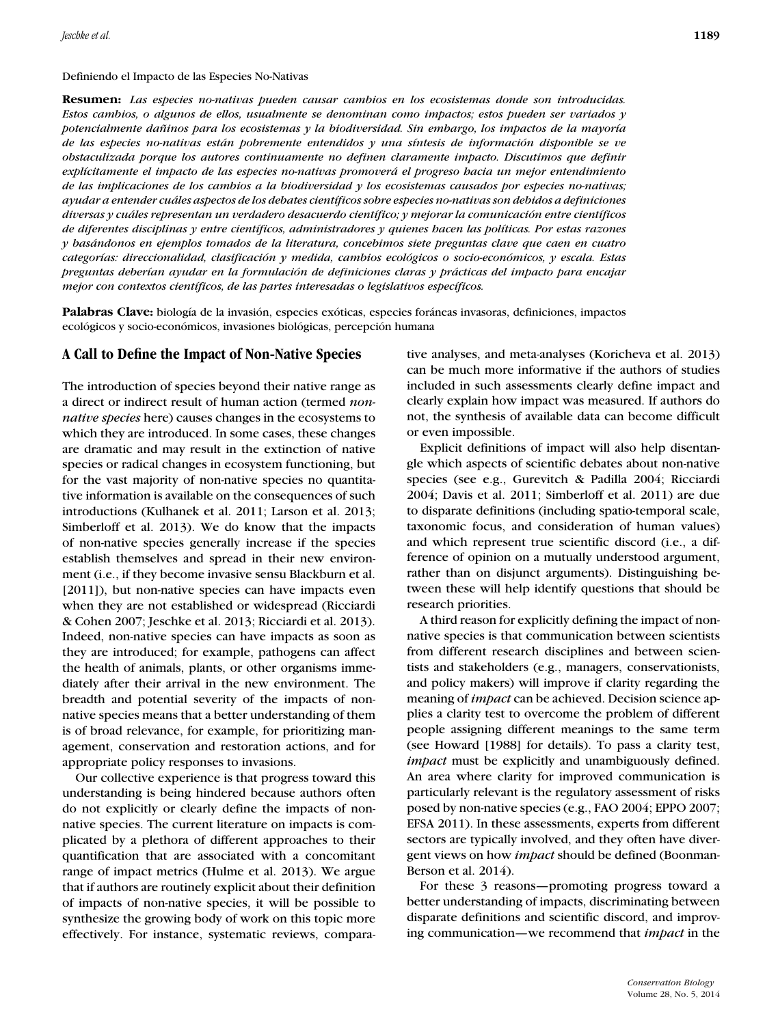#### Definiendo el Impacto de las Especies No-Nativas

**Resumen:** *Las especies no-nativas pueden causar cambios en los ecosistemas donde son introducidas. Estos cambios, o algunos de ellos, usualmente se denominan como impactos; estos pueden ser variados y potencialmente dañinos para los ecosistemas y la biodiversidad. Sin embargo, los impactos de la mayoría de las especies no-nativas estan pobremente entendidos y una s ´ ´ıntesis de informacion disponible se ve ´ obstaculizada porque los autores continuamente no definen claramente impacto. Discutimos que definir expl´ıcitamente el impacto de las especies no-nativas promovera el progreso hacia un mejor entendimiento ´ de las implicaciones de los cambios a la biodiversidad y los ecosistemas causados por especies no-nativas; ayudar a entender cuales aspectos de los debates cient ´ ´ıficos sobre especies no-nativas son debidos a definiciones diversas y cuales representan un verdadero desacuerdo cient ´ ´ıfico; y mejorar la comunicacion entre cient ´ ´ıficos de diferentes disciplinas y entre cient´ıficos, administradores y quienes hacen las pol´ıticas. Por estas razones y basandonos en ejemplos tomados de la literatura, concebimos siete preguntas clave que caen en cuatro ´ categor´ıas: direccionalidad, clasificacion y medida, cambios ecol ´ ogicos o socio-econ ´ omicos, y escala. Estas ´ preguntas deber´ıan ayudar en la formulacion de definiciones claras y pr ´ acticas del impacto para encajar ´ mejor con contextos cient´ıficos, de las partes interesadas o legislativos espec´ıficos.*

**Palabras Clave:** biología de la invasión, especies exóticas, especies foráneas invasoras, definiciones, impactos ecológicos y socio-económicos, invasiones biológicas, percepción humana

## **A Call to Define the Impact of Non-Native Species**

The introduction of species beyond their native range as a direct or indirect result of human action (termed *nonnative species* here) causes changes in the ecosystems to which they are introduced. In some cases, these changes are dramatic and may result in the extinction of native species or radical changes in ecosystem functioning, but for the vast majority of non-native species no quantitative information is available on the consequences of such introductions (Kulhanek et al. 2011; Larson et al. 2013; Simberloff et al. 2013). We do know that the impacts of non-native species generally increase if the species establish themselves and spread in their new environment (i.e., if they become invasive sensu Blackburn et al. [2011]), but non-native species can have impacts even when they are not established or widespread (Ricciardi & Cohen 2007; Jeschke et al. 2013; Ricciardi et al. 2013). Indeed, non-native species can have impacts as soon as they are introduced; for example, pathogens can affect the health of animals, plants, or other organisms immediately after their arrival in the new environment. The breadth and potential severity of the impacts of nonnative species means that a better understanding of them is of broad relevance, for example, for prioritizing management, conservation and restoration actions, and for appropriate policy responses to invasions.

Our collective experience is that progress toward this understanding is being hindered because authors often do not explicitly or clearly define the impacts of nonnative species. The current literature on impacts is complicated by a plethora of different approaches to their quantification that are associated with a concomitant range of impact metrics (Hulme et al. 2013). We argue that if authors are routinely explicit about their definition of impacts of non-native species, it will be possible to synthesize the growing body of work on this topic more effectively. For instance, systematic reviews, comparative analyses, and meta-analyses (Koricheva et al. 2013) can be much more informative if the authors of studies included in such assessments clearly define impact and clearly explain how impact was measured. If authors do not, the synthesis of available data can become difficult or even impossible.

Explicit definitions of impact will also help disentangle which aspects of scientific debates about non-native species (see e.g., Gurevitch & Padilla 2004; Ricciardi 2004; Davis et al. 2011; Simberloff et al. 2011) are due to disparate definitions (including spatio-temporal scale, taxonomic focus, and consideration of human values) and which represent true scientific discord (i.e., a difference of opinion on a mutually understood argument, rather than on disjunct arguments). Distinguishing between these will help identify questions that should be research priorities.

A third reason for explicitly defining the impact of nonnative species is that communication between scientists from different research disciplines and between scientists and stakeholders (e.g., managers, conservationists, and policy makers) will improve if clarity regarding the meaning of *impact* can be achieved. Decision science applies a clarity test to overcome the problem of different people assigning different meanings to the same term (see Howard [1988] for details). To pass a clarity test, *impact* must be explicitly and unambiguously defined. An area where clarity for improved communication is particularly relevant is the regulatory assessment of risks posed by non-native species (e.g., FAO 2004; EPPO 2007; EFSA 2011). In these assessments, experts from different sectors are typically involved, and they often have divergent views on how *impact* should be defined (Boonman-Berson et al. 2014).

For these 3 reasons—promoting progress toward a better understanding of impacts, discriminating between disparate definitions and scientific discord, and improving communication—we recommend that *impact* in the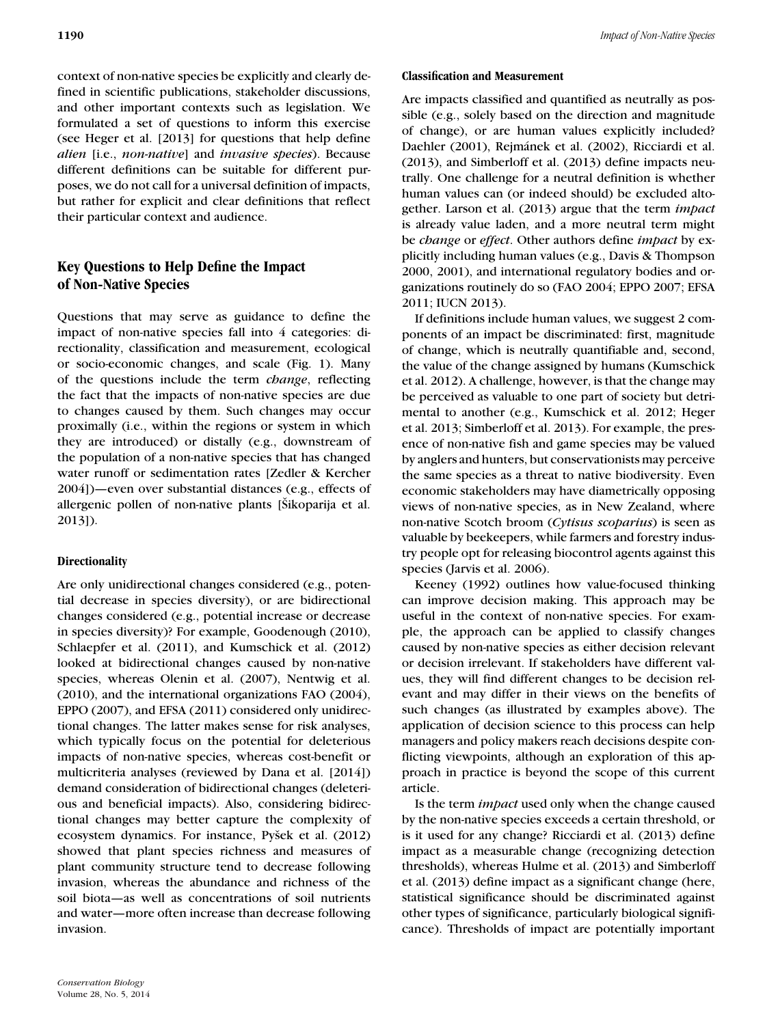context of non-native species be explicitly and clearly defined in scientific publications, stakeholder discussions, and other important contexts such as legislation. We formulated a set of questions to inform this exercise (see Heger et al. [2013] for questions that help define *alien* [i.e., *non-native*] and *invasive species*). Because different definitions can be suitable for different purposes, we do not call for a universal definition of impacts, but rather for explicit and clear definitions that reflect their particular context and audience.

# **Key Questions to Help Define the Impact of Non-Native Species**

Questions that may serve as guidance to define the impact of non-native species fall into 4 categories: directionality, classification and measurement, ecological or socio-economic changes, and scale (Fig. 1). Many of the questions include the term *change*, reflecting the fact that the impacts of non-native species are due to changes caused by them. Such changes may occur proximally (i.e., within the regions or system in which they are introduced) or distally (e.g., downstream of the population of a non-native species that has changed water runoff or sedimentation rates [Zedler & Kercher 2004])—even over substantial distances (e.g., effects of allergenic pollen of non-native plants [Šikoparija et al. 2013]).

## **Directionality**

Are only unidirectional changes considered (e.g., potential decrease in species diversity), or are bidirectional changes considered (e.g., potential increase or decrease in species diversity)? For example, Goodenough (2010), Schlaepfer et al. (2011), and Kumschick et al. (2012) looked at bidirectional changes caused by non-native species, whereas Olenin et al. (2007), Nentwig et al. (2010), and the international organizations FAO (2004), EPPO (2007), and EFSA (2011) considered only unidirectional changes. The latter makes sense for risk analyses, which typically focus on the potential for deleterious impacts of non-native species, whereas cost-benefit or multicriteria analyses (reviewed by Dana et al. [2014]) demand consideration of bidirectional changes (deleterious and beneficial impacts). Also, considering bidirectional changes may better capture the complexity of ecosystem dynamics. For instance, Pyšek et al. (2012) showed that plant species richness and measures of plant community structure tend to decrease following invasion, whereas the abundance and richness of the soil biota—as well as concentrations of soil nutrients and water—more often increase than decrease following invasion.

## **Classification and Measurement**

Are impacts classified and quantified as neutrally as possible (e.g., solely based on the direction and magnitude of change), or are human values explicitly included? Daehler (2001), Rejmánek et al. (2002), Ricciardi et al. (2013), and Simberloff et al. (2013) define impacts neutrally. One challenge for a neutral definition is whether human values can (or indeed should) be excluded altogether. Larson et al. (2013) argue that the term *impact* is already value laden, and a more neutral term might be *change* or *effect*. Other authors define *impact* by explicitly including human values (e.g., Davis & Thompson 2000, 2001), and international regulatory bodies and organizations routinely do so (FAO 2004; EPPO 2007; EFSA 2011; IUCN 2013).

If definitions include human values, we suggest 2 components of an impact be discriminated: first, magnitude of change, which is neutrally quantifiable and, second, the value of the change assigned by humans (Kumschick et al. 2012). A challenge, however, is that the change may be perceived as valuable to one part of society but detrimental to another (e.g., Kumschick et al. 2012; Heger et al. 2013; Simberloff et al. 2013). For example, the presence of non-native fish and game species may be valued by anglers and hunters, but conservationists may perceive the same species as a threat to native biodiversity. Even economic stakeholders may have diametrically opposing views of non-native species, as in New Zealand, where non-native Scotch broom (*Cytisus scoparius*) is seen as valuable by beekeepers, while farmers and forestry industry people opt for releasing biocontrol agents against this species (Jarvis et al. 2006).

Keeney (1992) outlines how value-focused thinking can improve decision making. This approach may be useful in the context of non-native species. For example, the approach can be applied to classify changes caused by non-native species as either decision relevant or decision irrelevant. If stakeholders have different values, they will find different changes to be decision relevant and may differ in their views on the benefits of such changes (as illustrated by examples above). The application of decision science to this process can help managers and policy makers reach decisions despite conflicting viewpoints, although an exploration of this approach in practice is beyond the scope of this current article.

Is the term *impact* used only when the change caused by the non-native species exceeds a certain threshold, or is it used for any change? Ricciardi et al. (2013) define impact as a measurable change (recognizing detection thresholds), whereas Hulme et al. (2013) and Simberloff et al. (2013) define impact as a significant change (here, statistical significance should be discriminated against other types of significance, particularly biological significance). Thresholds of impact are potentially important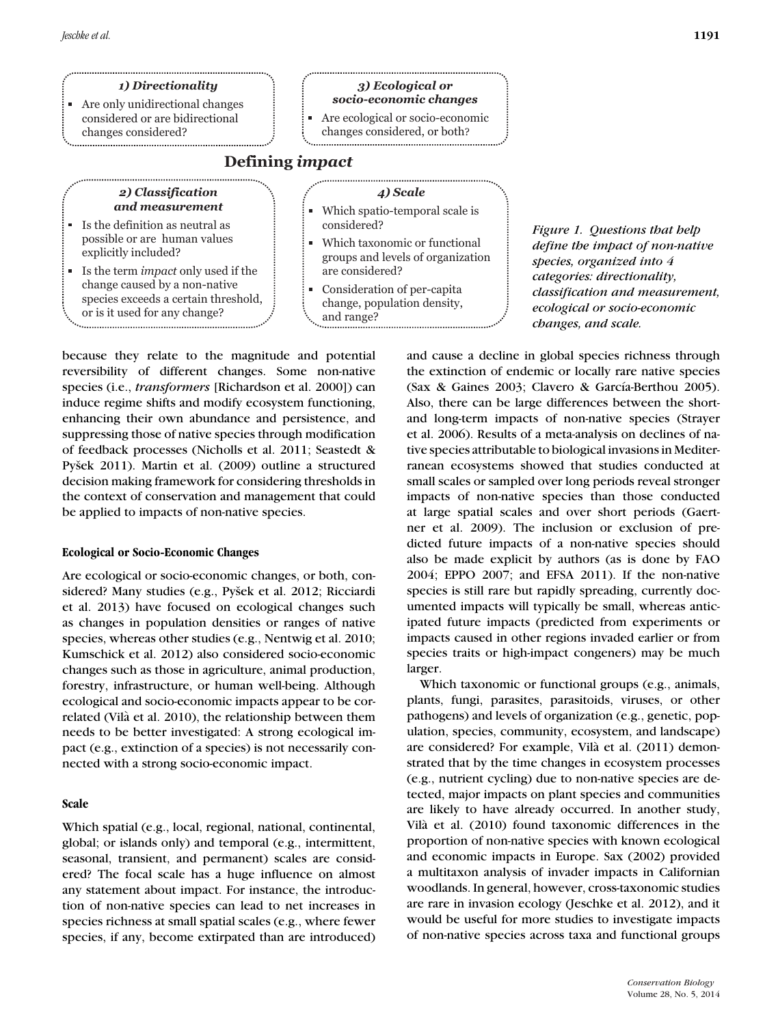## *1) Directionality*

Are only unidirectional changes considered or are bidirectional changes considered?

#### *3) Ecological or socio-economic changes*

Are ecological or socio-economic m. changes considered, or both?

## **Defining** *impact*

### *2) Classification and measurement*

- Is the definition as neutral as possible or are human values explicitly included?
- Is the term *impact* only used if the change caused by a non-native species exceeds a certain threshold, or is it used for any change?

### *4) Scale*

- Which spatio-temporal scale is ú. considered?
- Which taxonomic or functional ú. groups and levels of organization are considered?
- Consideration of per-capita I. change, population density, and range?

*Figure 1. Questions that help define the impact of non-native species, organized into 4 categories: directionality, classification and measurement, ecological or socio-economic changes, and scale.*

because they relate to the magnitude and potential reversibility of different changes. Some non-native species (i.e., *transformers* [Richardson et al. 2000]) can induce regime shifts and modify ecosystem functioning, enhancing their own abundance and persistence, and suppressing those of native species through modification of feedback processes (Nicholls et al. 2011; Seastedt & Pyšek 2011). Martin et al. (2009) outline a structured decision making framework for considering thresholds in the context of conservation and management that could be applied to impacts of non-native species.

#### **Ecological or Socio-Economic Changes**

Are ecological or socio-economic changes, or both, considered? Many studies (e.g., Pyšek et al. 2012; Ricciardi et al. 2013) have focused on ecological changes such as changes in population densities or ranges of native species, whereas other studies (e.g., Nentwig et al. 2010; Kumschick et al. 2012) also considered socio-economic changes such as those in agriculture, animal production, forestry, infrastructure, or human well-being. Although ecological and socio-economic impacts appear to be correlated (Vilà et al. 2010), the relationship between them needs to be better investigated: A strong ecological impact (e.g., extinction of a species) is not necessarily connected with a strong socio-economic impact.

## **Scale**

Which spatial (e.g., local, regional, national, continental, global; or islands only) and temporal (e.g., intermittent, seasonal, transient, and permanent) scales are considered? The focal scale has a huge influence on almost any statement about impact. For instance, the introduction of non-native species can lead to net increases in species richness at small spatial scales (e.g., where fewer species, if any, become extirpated than are introduced) and cause a decline in global species richness through the extinction of endemic or locally rare native species (Sax & Gaines 2003; Clavero & García-Berthou 2005). Also, there can be large differences between the shortand long-term impacts of non-native species (Strayer et al. 2006). Results of a meta-analysis on declines of native species attributable to biological invasions in Mediterranean ecosystems showed that studies conducted at small scales or sampled over long periods reveal stronger impacts of non-native species than those conducted at large spatial scales and over short periods (Gaertner et al. 2009). The inclusion or exclusion of predicted future impacts of a non-native species should also be made explicit by authors (as is done by FAO 2004; EPPO 2007; and EFSA 2011). If the non-native species is still rare but rapidly spreading, currently documented impacts will typically be small, whereas anticipated future impacts (predicted from experiments or impacts caused in other regions invaded earlier or from species traits or high-impact congeners) may be much larger.

Which taxonomic or functional groups (e.g., animals, plants, fungi, parasites, parasitoids, viruses, or other pathogens) and levels of organization (e.g., genetic, population, species, community, ecosystem, and landscape) are considered? For example, Vilà et al. (2011) demonstrated that by the time changes in ecosystem processes (e.g., nutrient cycling) due to non-native species are detected, major impacts on plant species and communities are likely to have already occurred. In another study, Vilà et al. (2010) found taxonomic differences in the proportion of non-native species with known ecological and economic impacts in Europe. Sax (2002) provided a multitaxon analysis of invader impacts in Californian woodlands. In general, however, cross-taxonomic studies are rare in invasion ecology (Jeschke et al. 2012), and it would be useful for more studies to investigate impacts of non-native species across taxa and functional groups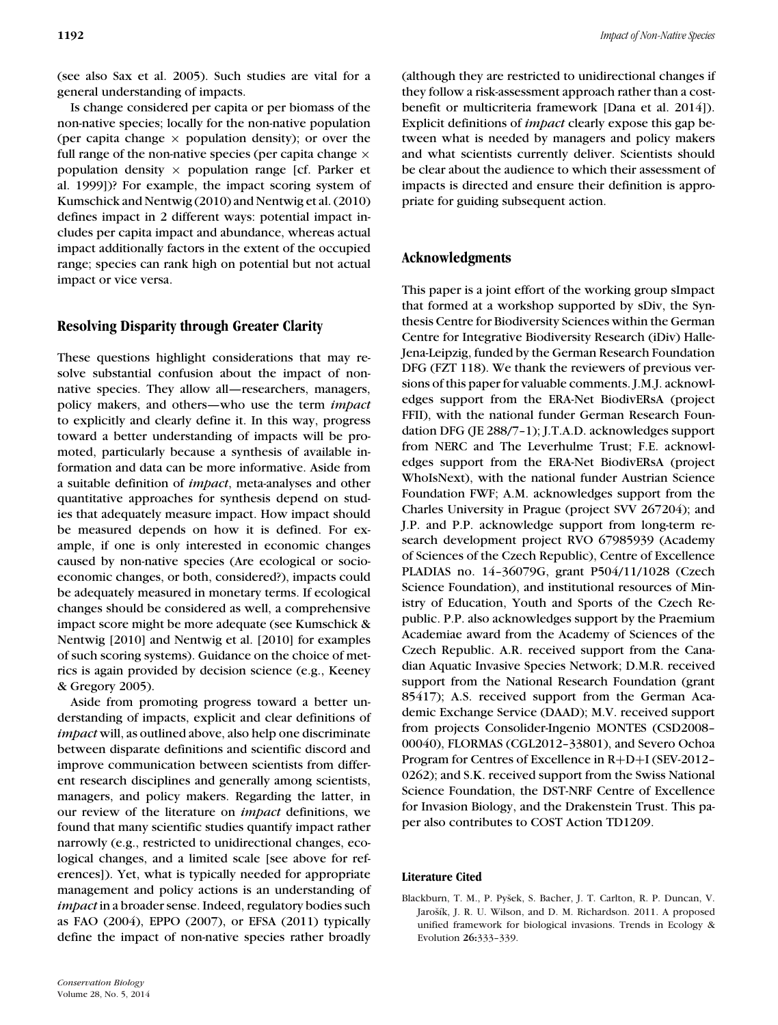(see also Sax et al. 2005). Such studies are vital for a general understanding of impacts.

Is change considered per capita or per biomass of the non-native species; locally for the non-native population (per capita change  $\times$  population density); or over the full range of the non-native species (per capita change  $\times$ population density  $\times$  population range [cf. Parker et al. 1999])? For example, the impact scoring system of Kumschick and Nentwig (2010) and Nentwig et al. (2010) defines impact in 2 different ways: potential impact includes per capita impact and abundance, whereas actual impact additionally factors in the extent of the occupied range; species can rank high on potential but not actual impact or vice versa.

# **Resolving Disparity through Greater Clarity**

These questions highlight considerations that may resolve substantial confusion about the impact of nonnative species. They allow all—researchers, managers, policy makers, and others—who use the term *impact* to explicitly and clearly define it. In this way, progress toward a better understanding of impacts will be promoted, particularly because a synthesis of available information and data can be more informative. Aside from a suitable definition of *impact*, meta-analyses and other quantitative approaches for synthesis depend on studies that adequately measure impact. How impact should be measured depends on how it is defined. For example, if one is only interested in economic changes caused by non-native species (Are ecological or socioeconomic changes, or both, considered?), impacts could be adequately measured in monetary terms. If ecological changes should be considered as well, a comprehensive impact score might be more adequate (see Kumschick & Nentwig [2010] and Nentwig et al. [2010] for examples of such scoring systems). Guidance on the choice of metrics is again provided by decision science (e.g., Keeney & Gregory 2005).

Aside from promoting progress toward a better understanding of impacts, explicit and clear definitions of *impact* will, as outlined above, also help one discriminate between disparate definitions and scientific discord and improve communication between scientists from different research disciplines and generally among scientists, managers, and policy makers. Regarding the latter, in our review of the literature on *impact* definitions, we found that many scientific studies quantify impact rather narrowly (e.g., restricted to unidirectional changes, ecological changes, and a limited scale [see above for references]). Yet, what is typically needed for appropriate management and policy actions is an understanding of *impact* in a broader sense. Indeed, regulatory bodies such as FAO (2004), EPPO (2007), or EFSA (2011) typically define the impact of non-native species rather broadly

(although they are restricted to unidirectional changes if they follow a risk-assessment approach rather than a costbenefit or multicriteria framework [Dana et al. 2014]). Explicit definitions of *impact* clearly expose this gap between what is needed by managers and policy makers and what scientists currently deliver. Scientists should be clear about the audience to which their assessment of impacts is directed and ensure their definition is appropriate for guiding subsequent action.

## **Acknowledgments**

This paper is a joint effort of the working group sImpact that formed at a workshop supported by sDiv, the Synthesis Centre for Biodiversity Sciences within the German Centre for Integrative Biodiversity Research (iDiv) Halle-Jena-Leipzig, funded by the German Research Foundation DFG (FZT 118). We thank the reviewers of previous versions of this paper for valuable comments. J.M.J. acknowledges support from the ERA-Net BiodivERsA (project FFII), with the national funder German Research Foundation DFG (JE 288/7–1); J.T.A.D. acknowledges support from NERC and The Leverhulme Trust; F.E. acknowledges support from the ERA-Net BiodivERsA (project WhoIsNext), with the national funder Austrian Science Foundation FWF; A.M. acknowledges support from the Charles University in Prague (project SVV 267204); and J.P. and P.P. acknowledge support from long-term research development project RVO 67985939 (Academy of Sciences of the Czech Republic), Centre of Excellence PLADIAS no. 14–36079G, grant P504/11/1028 (Czech Science Foundation), and institutional resources of Ministry of Education, Youth and Sports of the Czech Republic. P.P. also acknowledges support by the Praemium Academiae award from the Academy of Sciences of the Czech Republic. A.R. received support from the Canadian Aquatic Invasive Species Network; D.M.R. received support from the National Research Foundation (grant 85417); A.S. received support from the German Academic Exchange Service (DAAD); M.V. received support from projects Consolider-Ingenio MONTES (CSD2008– 00040), FLORMAS (CGL2012–33801), and Severo Ochoa Program for Centres of Excellence in R+D+I (SEV-2012– 0262); and S.K. received support from the Swiss National Science Foundation, the DST-NRF Centre of Excellence for Invasion Biology, and the Drakenstein Trust. This paper also contributes to COST Action TD1209.

## **Literature Cited**

Blackburn, T. M., P. Pyšek, S. Bacher, J. T. Carlton, R. P. Duncan, V. Jarošík, J. R. U. Wilson, and D. M. Richardson. 2011. A proposed unified framework for biological invasions. Trends in Ecology & Evolution **26:**333–339.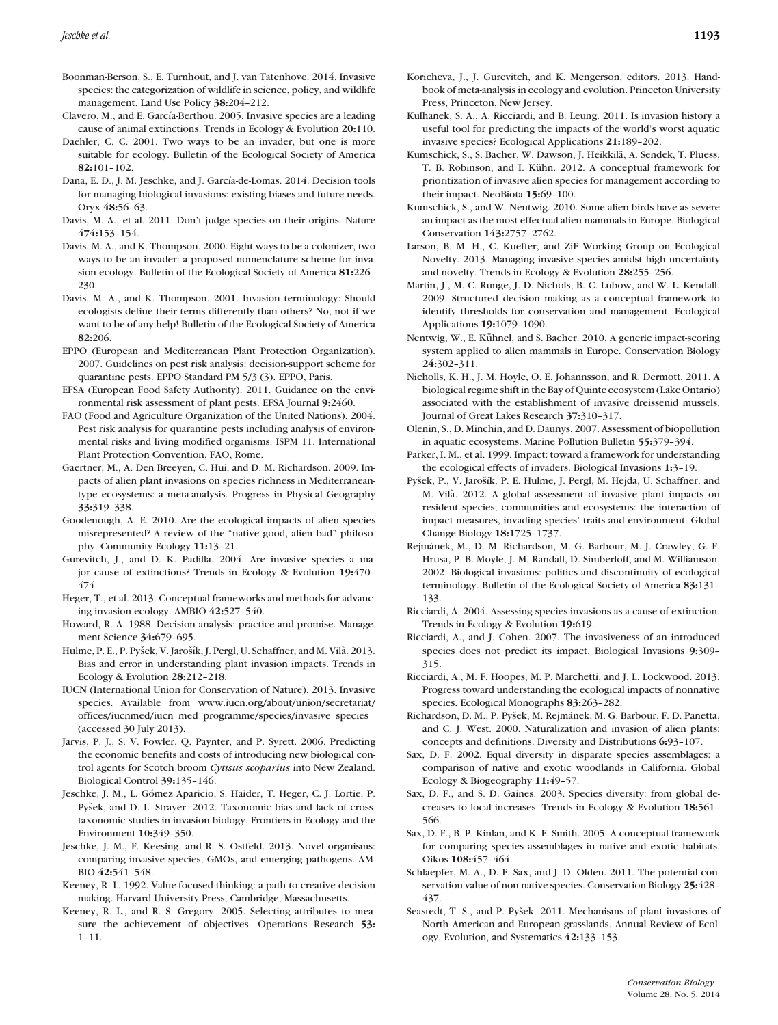Boonman-Berson, S., E. Turnhout, and J. van Tatenhove. 2014. Invasive species: the categorization of wildlife in science, policy, and wildlife management. Land Use Policy **38:**204–212.

- Clavero, M., and E. García-Berthou. 2005. Invasive species are a leading cause of animal extinctions. Trends in Ecology & Evolution **20:**110.
- Daehler, C. C. 2001. Two ways to be an invader, but one is more suitable for ecology. Bulletin of the Ecological Society of America **82:**101–102.
- Dana, E. D., J. M. Jeschke, and J. García-de-Lomas. 2014. Decision tools for managing biological invasions: existing biases and future needs. Oryx **48:**56–63.
- Davis, M. A., et al. 2011. Don't judge species on their origins. Nature **474:**153–154.
- Davis, M. A., and K. Thompson. 2000. Eight ways to be a colonizer, two ways to be an invader: a proposed nomenclature scheme for invasion ecology. Bulletin of the Ecological Society of America **81:**226– 230.
- Davis, M. A., and K. Thompson. 2001. Invasion terminology: Should ecologists define their terms differently than others? No, not if we want to be of any help! Bulletin of the Ecological Society of America **82:**206.
- EPPO (European and Mediterranean Plant Protection Organization). 2007. Guidelines on pest risk analysis: decision-support scheme for quarantine pests. EPPO Standard PM 5/3 (3). EPPO, Paris.
- EFSA (European Food Safety Authority). 2011. Guidance on the environmental risk assessment of plant pests. EFSA Journal **9:**2460.
- FAO (Food and Agriculture Organization of the United Nations). 2004. Pest risk analysis for quarantine pests including analysis of environmental risks and living modified organisms. ISPM 11. International Plant Protection Convention, FAO, Rome.
- Gaertner, M., A. Den Breeyen, C. Hui, and D. M. Richardson. 2009. Impacts of alien plant invasions on species richness in Mediterraneantype ecosystems: a meta-analysis. Progress in Physical Geography **33:**319–338.
- Goodenough, A. E. 2010. Are the ecological impacts of alien species misrepresented? A review of the "native good, alien bad" philosophy. Community Ecology **11:**13–21.
- Gurevitch, J., and D. K. Padilla. 2004. Are invasive species a major cause of extinctions? Trends in Ecology & Evolution **19:**470– 474.
- Heger, T., et al. 2013. Conceptual frameworks and methods for advancing invasion ecology. AMBIO **42:**527–540.
- Howard, R. A. 1988. Decision analysis: practice and promise. Management Science **34:**679–695.
- Hulme, P. E., P. Pyšek, V. Jarošík, J. Pergl, U. Schaffner, and M. Vilà. 2013. Bias and error in understanding plant invasion impacts. Trends in Ecology & Evolution **28:**212–218.
- IUCN (International Union for Conservation of Nature). 2013. Invasive species. Available from www.iucn.org/about/union/secretariat/ offices/iucnmed/iucn\_med\_programme/species/invasive\_species (accessed 30 July 2013).
- Jarvis, P. J., S. V. Fowler, Q. Paynter, and P. Syrett. 2006. Predicting the economic benefits and costs of introducing new biological control agents for Scotch broom *Cytisus scoparius* into New Zealand. Biological Control **39:**135–146.
- Jeschke, J. M., L. Gómez Aparicio, S. Haider, T. Heger, C. J. Lortie, P. Pyšek, and D. L. Strayer. 2012. Taxonomic bias and lack of crosstaxonomic studies in invasion biology. Frontiers in Ecology and the Environment **10:**349–350.
- Jeschke, J. M., F. Keesing, and R. S. Ostfeld. 2013. Novel organisms: comparing invasive species, GMOs, and emerging pathogens. AM-BIO **42:**541–548.
- Keeney, R. L. 1992. Value-focused thinking: a path to creative decision making. Harvard University Press, Cambridge, Massachusetts.
- Keeney, R. L., and R. S. Gregory. 2005. Selecting attributes to measure the achievement of objectives. Operations Research **53:** 1–11.
- Koricheva, J., J. Gurevitch, and K. Mengerson, editors. 2013. Handbook of meta-analysis in ecology and evolution. Princeton University Press, Princeton, New Jersey.
- Kulhanek, S. A., A. Ricciardi, and B. Leung. 2011. Is invasion history a useful tool for predicting the impacts of the world's worst aquatic invasive species? Ecological Applications **21:**189–202.
- Kumschick, S., S. Bacher, W. Dawson, J. Heikkilä, A. Sendek, T. Pluess, T. B. Robinson, and I. Kühn. 2012. A conceptual framework for prioritization of invasive alien species for management according to their impact. NeoBiota **15:**69–100.
- Kumschick, S., and W. Nentwig. 2010. Some alien birds have as severe an impact as the most effectual alien mammals in Europe. Biological Conservation **143:**2757–2762.
- Larson, B. M. H., C. Kueffer, and ZiF Working Group on Ecological Novelty. 2013. Managing invasive species amidst high uncertainty and novelty. Trends in Ecology & Evolution **28:**255–256.
- Martin, J., M. C. Runge, J. D. Nichols, B. C. Lubow, and W. L. Kendall. 2009. Structured decision making as a conceptual framework to identify thresholds for conservation and management. Ecological Applications **19:**1079–1090.
- Nentwig, W., E. Kühnel, and S. Bacher. 2010. A generic impact-scoring system applied to alien mammals in Europe. Conservation Biology **24:**302–311.
- Nicholls, K. H., J. M. Hoyle, O. E. Johannsson, and R. Dermott. 2011. A biological regime shift in the Bay of Quinte ecosystem (Lake Ontario) associated with the establishment of invasive dreissenid mussels. Journal of Great Lakes Research **37:**310–317.
- Olenin, S., D. Minchin, and D. Daunys. 2007. Assessment of biopollution in aquatic ecosystems. Marine Pollution Bulletin **55:**379–394.
- Parker, I. M., et al. 1999. Impact: toward a framework for understanding the ecological effects of invaders. Biological Invasions **1:**3–19.
- Pyšek, P., V. Jarošík, P. E. Hulme, J. Pergl, M. Hejda, U. Schaffner, and M. Vilà. 2012. A global assessment of invasive plant impacts on resident species, communities and ecosystems: the interaction of impact measures, invading species' traits and environment. Global Change Biology **18:**1725–1737.
- Rejmánek, M., D. M. Richardson, M. G. Barbour, M. J. Crawley, G. F. Hrusa, P. B. Moyle, J. M. Randall, D. Simberloff, and M. Williamson. 2002. Biological invasions: politics and discontinuity of ecological terminology. Bulletin of the Ecological Society of America **83:**131– 133.
- Ricciardi, A. 2004. Assessing species invasions as a cause of extinction. Trends in Ecology & Evolution **19:**619.
- Ricciardi, A., and J. Cohen. 2007. The invasiveness of an introduced species does not predict its impact. Biological Invasions **9:**309– 315.
- Ricciardi, A., M. F. Hoopes, M. P. Marchetti, and J. L. Lockwood. 2013. Progress toward understanding the ecological impacts of nonnative species. Ecological Monographs **83:**263–282.
- Richardson, D. M., P. Pyšek, M. Rejmánek, M. G. Barbour, F. D. Panetta, and C. J. West. 2000. Naturalization and invasion of alien plants: concepts and definitions. Diversity and Distributions **6:**93–107.
- Sax, D. F. 2002. Equal diversity in disparate species assemblages: a comparison of native and exotic woodlands in California. Global Ecology & Biogeography **11:**49–57.
- Sax, D. F., and S. D. Gaines. 2003. Species diversity: from global decreases to local increases. Trends in Ecology & Evolution **18:**561– 566.
- Sax, D. F., B. P. Kinlan, and K. F. Smith. 2005. A conceptual framework for comparing species assemblages in native and exotic habitats. Oikos **108:**457–464.
- Schlaepfer, M. A., D. F. Sax, and J. D. Olden. 2011. The potential conservation value of non-native species. Conservation Biology **25:**428– 437.
- Seastedt, T. S., and P. Pyšek. 2011. Mechanisms of plant invasions of North American and European grasslands. Annual Review of Ecology, Evolution, and Systematics **42:**133–153.